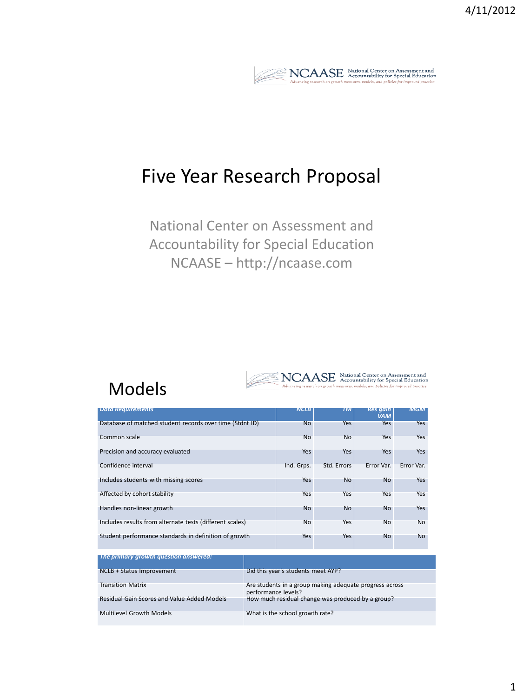

 $\underset{Advancing\ research\ on\ growth\ measures,\ models,\ and\ policies\ for\ special Education}{\textbf{A}{\textbf{d}c}=\textbf{A}{\textbf{c}countability\ for\ Special\ Education}}$ 

## Five Year Research Proposal

National Center on Assessment and Accountability for Special Education NCAASE – http://ncaase.com

### Models

| <b>Data Requirements</b>                                 | <b>NCLB</b> | TM          | <b>Res</b> gain<br><b>VAM</b> | <b>MGM</b> |
|----------------------------------------------------------|-------------|-------------|-------------------------------|------------|
| Database of matched student records over time (Stdnt ID) | <b>No</b>   | Yes         | Yes                           | Yes        |
| Common scale                                             | <b>No</b>   | <b>No</b>   | <b>Yes</b>                    | <b>Yes</b> |
| Precision and accuracy evaluated                         | Yes         | Yes         | Yes                           | Yes        |
| Confidence interval                                      | Ind. Grps.  | Std. Errors | Error Var.                    | Error Var. |
| Includes students with missing scores                    | Yes         | <b>No</b>   | <b>No</b>                     | Yes        |
| Affected by cohort stability                             | <b>Yes</b>  | Yes         | Yes                           | Yes        |
| Handles non-linear growth                                | <b>No</b>   | <b>No</b>   | <b>No</b>                     | Yes        |
| Includes results from alternate tests (different scales) | <b>No</b>   | Yes         | <b>No</b>                     | <b>No</b>  |
| Student performance standards in definition of growth    | Yes         | Yes         | <b>No</b>                     | <b>No</b>  |

| $\Box$ The primary growth question answered: |                                                                                |
|----------------------------------------------|--------------------------------------------------------------------------------|
| NCLB + Status Improvement                    | Did this year's students meet AYP?                                             |
| <b>Transition Matrix</b>                     | Are students in a group making adequate progress across<br>performance levels? |
| Residual Gain Scores and Value Added Models  | How much residual change was produced by a group?                              |
| <b>Multilevel Growth Models</b>              | What is the school growth rate?                                                |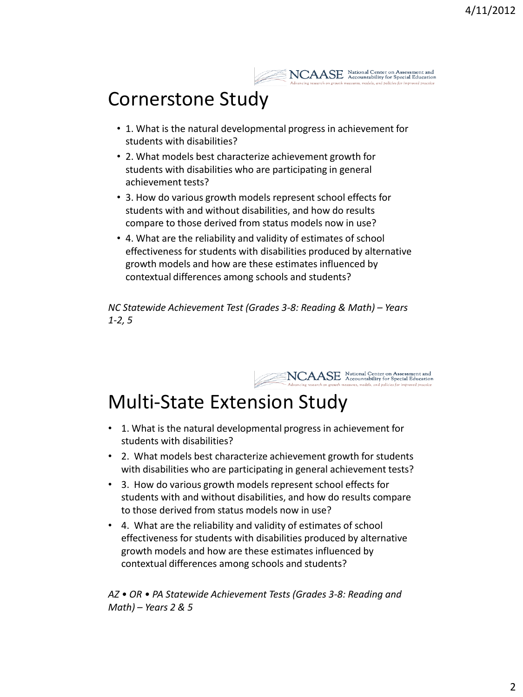

## Cornerstone Study

- 1. What is the natural developmental progress in achievement for students with disabilities?
- 2. What models best characterize achievement growth for students with disabilities who are participating in general achievement tests?
- 3. How do various growth models represent school effects for students with and without disabilities, and how do results compare to those derived from status models now in use?
- 4. What are the reliability and validity of estimates of school effectiveness for students with disabilities produced by alternative growth models and how are these estimates influenced by contextual differences among schools and students?

*NC Statewide Achievement Test (Grades 3-8: Reading & Math) – Years 1-2, 5*



# Multi-State Extension Study

- 1. What is the natural developmental progress in achievement for students with disabilities?
- 2. What models best characterize achievement growth for students with disabilities who are participating in general achievement tests?
- 3. How do various growth models represent school effects for students with and without disabilities, and how do results compare to those derived from status models now in use?
- 4. What are the reliability and validity of estimates of school effectiveness for students with disabilities produced by alternative growth models and how are these estimates influenced by contextual differences among schools and students?

*AZ • OR • PA Statewide Achievement Tests (Grades 3-8: Reading and Math) – Years 2 & 5*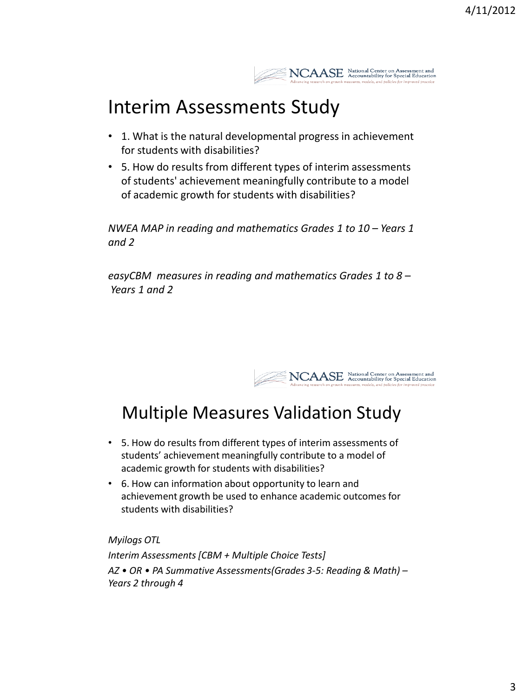

## Interim Assessments Study

- 1. What is the natural developmental progress in achievement for students with disabilities?
- 5. How do results from different types of interim assessments of students' achievement meaningfully contribute to a model of academic growth for students with disabilities?

*NWEA MAP in reading and mathematics Grades 1 to 10 – Years 1 and 2*

*easyCBM measures in reading and mathematics Grades 1 to 8 – Years 1 and 2*



## Multiple Measures Validation Study

- 5. How do results from different types of interim assessments of students' achievement meaningfully contribute to a model of academic growth for students with disabilities?
- 6. How can information about opportunity to learn and achievement growth be used to enhance academic outcomes for students with disabilities?

*Myilogs OTL Interim Assessments [CBM + Multiple Choice Tests] AZ • OR • PA Summative Assessments(Grades 3-5: Reading & Math) – Years 2 through 4*